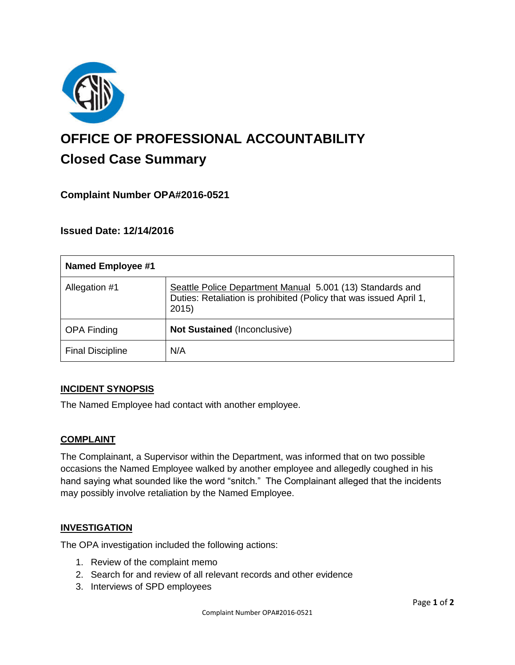

# **OFFICE OF PROFESSIONAL ACCOUNTABILITY Closed Case Summary**

# **Complaint Number OPA#2016-0521**

## **Issued Date: 12/14/2016**

| <b>Named Employee #1</b> |                                                                                                                                         |
|--------------------------|-----------------------------------------------------------------------------------------------------------------------------------------|
| Allegation #1            | Seattle Police Department Manual 5.001 (13) Standards and<br>Duties: Retaliation is prohibited (Policy that was issued April 1,<br>2015 |
| <b>OPA Finding</b>       | <b>Not Sustained (Inconclusive)</b>                                                                                                     |
| <b>Final Discipline</b>  | N/A                                                                                                                                     |

#### **INCIDENT SYNOPSIS**

The Named Employee had contact with another employee.

#### **COMPLAINT**

The Complainant, a Supervisor within the Department, was informed that on two possible occasions the Named Employee walked by another employee and allegedly coughed in his hand saying what sounded like the word "snitch." The Complainant alleged that the incidents may possibly involve retaliation by the Named Employee.

#### **INVESTIGATION**

The OPA investigation included the following actions:

- 1. Review of the complaint memo
- 2. Search for and review of all relevant records and other evidence
- 3. Interviews of SPD employees